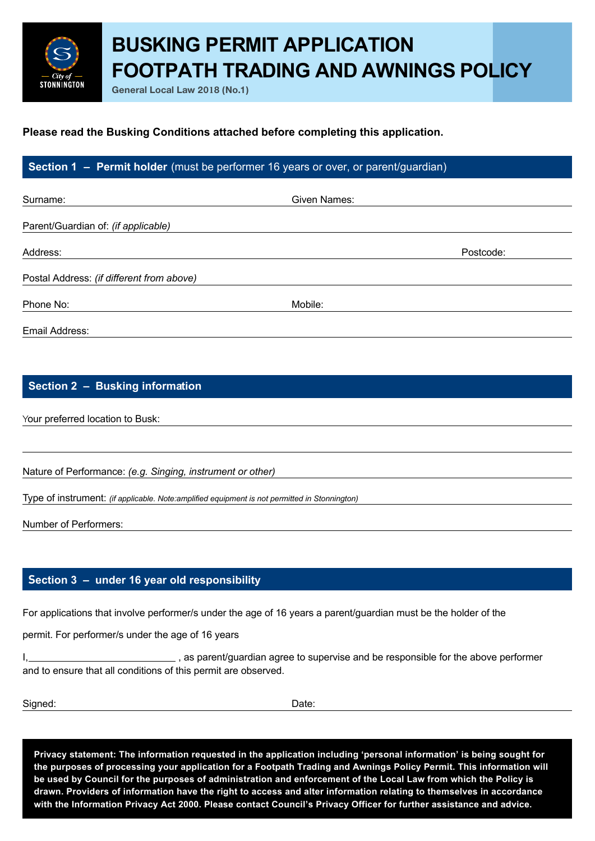# **BUSKING PERMIT APPLICATION FOOTPATH TRADING AND AWNINGS POLICY**

**General Local Law 2018 (No.1)**

#### **Please read the Busking Conditions attached before completing this application.**

### **Section 1 – Permit holder** (must be performer 16 years or over, or parent/guardian)

| Surname:                                  | Given Names: |           |
|-------------------------------------------|--------------|-----------|
| Parent/Guardian of: (if applicable)       |              |           |
| Address:                                  |              | Postcode: |
| Postal Address: (if different from above) |              |           |
| Phone No:                                 | Mobile:      |           |
| Email Address:                            |              |           |

#### **Section 2 – Busking information**

Your preferred location to Busk:

**STONNINGTON** 

Nature of Performance: *(e.g. Singing, instrument or other)*

Type of instrument: *(if applicable. Note:amplified equipment is not permitted in Stonnington)*

Number of Performers:

#### **section 3 – under 16 year old responsibility**

For applications that involve performer/s under the age of 16 years a parent/guardian must be the holder of the

permit. For performer/s under the age of 16 years

 $\overline{\phantom{a}}$ , as parent/guardian agree to supervise and be responsible for the above performer I. and to ensure that all conditions of this permit are observed.

Signed:

Date:

**Privacy statement: The information requested in the application including 'personal information' is being sought for the purposes of processing your application for a Footpath Trading and Awnings Policy Permit. This information will be used by Council for the purposes of administration and enforcement of the Local Law from which the Policy is drawn. Providers of information have the right to access and alter information relating to themselves in accordance with the Information Privacy Act 2000. Please contact Council's Privacy Officer for further assistance and advice.**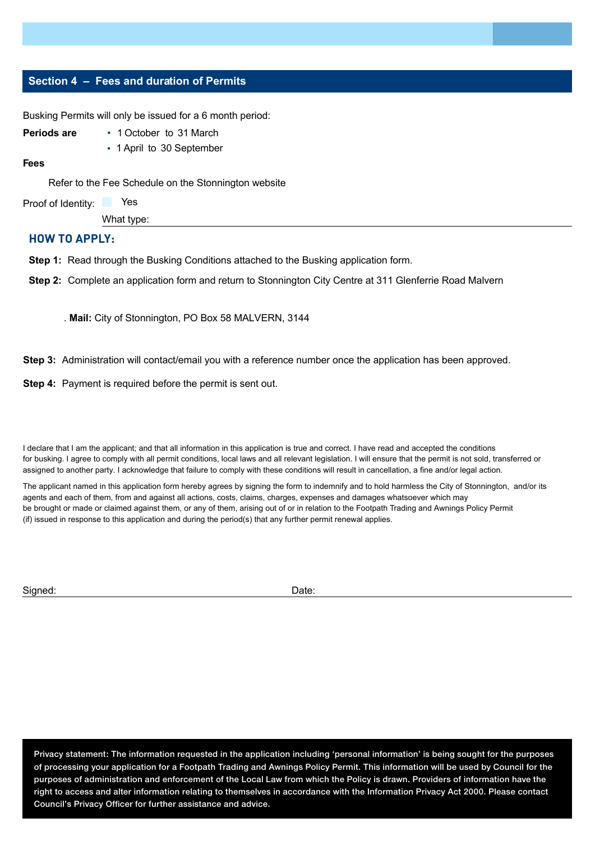#### **Section 4 – Fees and duration of Permits**

Busking Permits will only be issued for a 6 month period:

| Periods are          | • 1 October to 31 March                              |
|----------------------|------------------------------------------------------|
|                      | • 1 April to 30 September                            |
| <b>Fees</b>          |                                                      |
|                      | Refer to the Fee Schedule on the Stonnington website |
| Proof of Identity:   | Yes                                                  |
| What type:           |                                                      |
| <b>HOW TO APPLY:</b> |                                                      |

**Step 1:** Read through the Busking Conditions attached to the Busking application form.

**Step 2:** Complete an application form and return to Stonnington City Centre at 311 Glenferrie Road Malvern

. **Mail:** City of Stonnington, PO Box 58 MALVERN, 3144

**Step 3:** Administration will contact/email you with a reference number once the application has been approved.

**Step 4:** Payment is required before the permit is sent out.

I declare that I am the applicant; and that all information in this application is true and correct. I have read and accepted the conditions for busking. I agree to comply with all permit conditions, local laws and all relevant legislation. I will ensure that the permit is not sold, transferred or assigned to another party. I acknowledge that failure to comply with these conditions will result in cancellation, a fine and/or legal action.

The applicant named in this application form hereby agrees by signing the form to indemnify and to hold harmless the City of Stonnington, and/or its agents and each of them, from and against all actions, costs, claims, charges, expenses and damages whatsoever which may be brought or made or claimed against them, or any of them, arising out of or in relation to the Footpath Trading and Awnings Policy Permit (if) issued in response to this application and during the period(s) that any further permit renewal applies.

Signed:

Date:

**Privacy statement: The information requested in the application including 'personal information' is being sought for the purposes of processing your application for a Footpath Trading and Awnings Policy Permit. This information will be used by Council for the purposes of administration and enforcement of the Local Law from which the Policy is drawn. Providers of information have the right to access and alter information relating to themselves in accordance with the Information Privacy Act 2000. Please contact Council's Privacy Officer for further assistance and advice.**